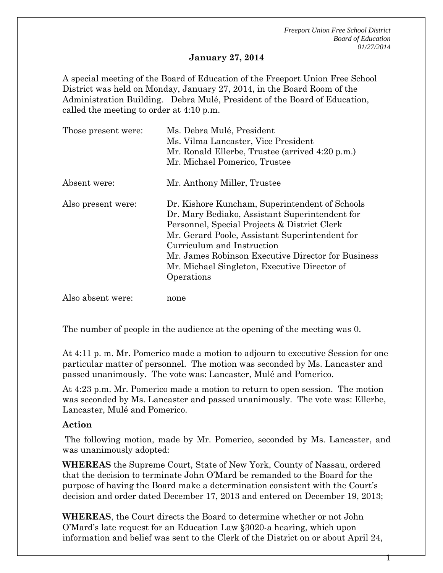*Freeport Union Free School District Board of Education 01/27/2014*

## **January 27, 2014**

A special meeting of the Board of Education of the Freeport Union Free School District was held on Monday, January 27, 2014, in the Board Room of the Administration Building. Debra Mulé, President of the Board of Education, called the meeting to order at 4:10 p.m.

| Those present were: | Ms. Debra Mulé, President<br>Ms. Vilma Lancaster, Vice President<br>Mr. Ronald Ellerbe, Trustee (arrived 4:20 p.m.)<br>Mr. Michael Pomerico, Trustee                                                                                                                                                                                                 |
|---------------------|------------------------------------------------------------------------------------------------------------------------------------------------------------------------------------------------------------------------------------------------------------------------------------------------------------------------------------------------------|
| Absent were:        | Mr. Anthony Miller, Trustee                                                                                                                                                                                                                                                                                                                          |
| Also present were:  | Dr. Kishore Kuncham, Superintendent of Schools<br>Dr. Mary Bediako, Assistant Superintendent for<br>Personnel, Special Projects & District Clerk<br>Mr. Gerard Poole, Assistant Superintendent for<br>Curriculum and Instruction<br>Mr. James Robinson Executive Director for Business<br>Mr. Michael Singleton, Executive Director of<br>Operations |
| Also absent were:   | none                                                                                                                                                                                                                                                                                                                                                 |

The number of people in the audience at the opening of the meeting was 0.

At 4:11 p. m. Mr. Pomerico made a motion to adjourn to executive Session for one particular matter of personnel. The motion was seconded by Ms. Lancaster and passed unanimously. The vote was: Lancaster, Mulé and Pomerico.

At 4:23 p.m. Mr. Pomerico made a motion to return to open session. The motion was seconded by Ms. Lancaster and passed unanimously. The vote was: Ellerbe, Lancaster, Mulé and Pomerico.

## **Action**

The following motion, made by Mr. Pomerico, seconded by Ms. Lancaster, and was unanimously adopted:

**WHEREAS** the Supreme Court, State of New York, County of Nassau, ordered that the decision to terminate John O'Mard be remanded to the Board for the purpose of having the Board make a determination consistent with the Court's decision and order dated December 17, 2013 and entered on December 19, 2013;

**WHEREAS**, the Court directs the Board to determine whether or not John O'Mard's late request for an Education Law §3020-a hearing, which upon information and belief was sent to the Clerk of the District on or about April 24,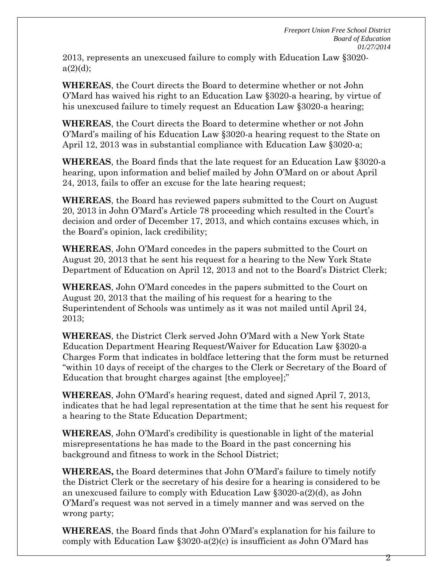2013, represents an unexcused failure to comply with Education Law §3020  $a(2)(d)$ ;

**WHEREAS**, the Court directs the Board to determine whether or not John O'Mard has waived his right to an Education Law §3020-a hearing, by virtue of his unexcused failure to timely request an Education Law §3020-a hearing;

**WHEREAS**, the Court directs the Board to determine whether or not John O'Mard's mailing of his Education Law §3020-a hearing request to the State on April 12, 2013 was in substantial compliance with Education Law §3020-a;

**WHEREAS**, the Board finds that the late request for an Education Law §3020-a hearing, upon information and belief mailed by John O'Mard on or about April 24, 2013, fails to offer an excuse for the late hearing request;

**WHEREAS**, the Board has reviewed papers submitted to the Court on August 20, 2013 in John O'Mard's Article 78 proceeding which resulted in the Court's decision and order of December 17, 2013, and which contains excuses which, in the Board's opinion, lack credibility;

**WHEREAS**, John O'Mard concedes in the papers submitted to the Court on August 20, 2013 that he sent his request for a hearing to the New York State Department of Education on April 12, 2013 and not to the Board's District Clerk;

**WHEREAS**, John O'Mard concedes in the papers submitted to the Court on August 20, 2013 that the mailing of his request for a hearing to the Superintendent of Schools was untimely as it was not mailed until April 24, 2013;

**WHEREAS**, the District Clerk served John O'Mard with a New York State Education Department Hearing Request/Waiver for Education Law §3020-a Charges Form that indicates in boldface lettering that the form must be returned "within 10 days of receipt of the charges to the Clerk or Secretary of the Board of Education that brought charges against [the employee];"

**WHEREAS**, John O'Mard's hearing request, dated and signed April 7, 2013, indicates that he had legal representation at the time that he sent his request for a hearing to the State Education Department;

**WHEREAS**, John O'Mard's credibility is questionable in light of the material misrepresentations he has made to the Board in the past concerning his background and fitness to work in the School District;

**WHEREAS,** the Board determines that John O'Mard's failure to timely notify the District Clerk or the secretary of his desire for a hearing is considered to be an unexcused failure to comply with Education Law §3020-a(2)(d), as John O'Mard's request was not served in a timely manner and was served on the wrong party;

**WHEREAS**, the Board finds that John O'Mard's explanation for his failure to comply with Education Law  $\S 3020-a(2)(c)$  is insufficient as John O'Mard has

2